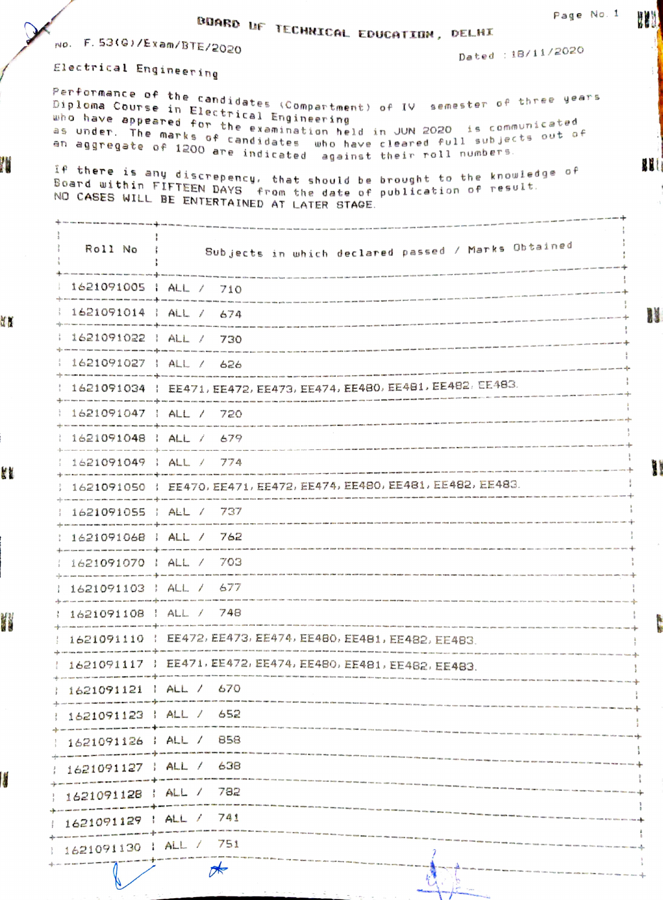|                                                                                                                                         |                                                                                          | Page No. 1                                                                                                                                                                                                                                                                                                                                                                                                                                                                                                                                                  |
|-----------------------------------------------------------------------------------------------------------------------------------------|------------------------------------------------------------------------------------------|-------------------------------------------------------------------------------------------------------------------------------------------------------------------------------------------------------------------------------------------------------------------------------------------------------------------------------------------------------------------------------------------------------------------------------------------------------------------------------------------------------------------------------------------------------------|
| No. F. 53(G)/Exam/BTE/2020                                                                                                              |                                                                                          | BUARD UF TECHNICAL EDUCATION, DELHI<br>Dated : 18/11/2020                                                                                                                                                                                                                                                                                                                                                                                                                                                                                                   |
| Electrical Engineering                                                                                                                  |                                                                                          |                                                                                                                                                                                                                                                                                                                                                                                                                                                                                                                                                             |
|                                                                                                                                         | Diploma Course in Electrical Engineering<br>NO CASES WILL BE ENTERTAINED AT LATER STAGE. | Performance of the candidates (Compartment) of IV. semester of three years<br>Diploma Course in Flaster<br>who have appeared for the examination held in JUN 2020, is communicated<br>as under. The marks is the examination held in JUN 2020, is communicated<br>as under. The marks of candidates who have cleared full subjects out of<br>en aggregate of 1200 are indicated against their roll numbers.<br>If there is any discrepency, that should be brought to the knowledge of<br>Board within FIFTEEN DAYS from the date of publication of result. |
|                                                                                                                                         |                                                                                          | Roll No : Subjects in which declared passed / Marks Obtained                                                                                                                                                                                                                                                                                                                                                                                                                                                                                                |
| 1621091005   ALL / 710                                                                                                                  |                                                                                          |                                                                                                                                                                                                                                                                                                                                                                                                                                                                                                                                                             |
| $1621091014$ $14L / 674$                                                                                                                |                                                                                          | $\leftrightarrow \bullet \bullet$                                                                                                                                                                                                                                                                                                                                                                                                                                                                                                                           |
| : 1621091022 : ALL / 730                                                                                                                |                                                                                          |                                                                                                                                                                                                                                                                                                                                                                                                                                                                                                                                                             |
|                                                                                                                                         | $1621091027$ $1$ ALL / 626                                                               |                                                                                                                                                                                                                                                                                                                                                                                                                                                                                                                                                             |
|                                                                                                                                         |                                                                                          | 1621091034   EE471, EE472, EE473, EE474, EE480, EE481, EE482, EE483.                                                                                                                                                                                                                                                                                                                                                                                                                                                                                        |
| 1621091047   ALL / 720                                                                                                                  |                                                                                          |                                                                                                                                                                                                                                                                                                                                                                                                                                                                                                                                                             |
| $1621091048$ $1$ ALL / 679                                                                                                              |                                                                                          |                                                                                                                                                                                                                                                                                                                                                                                                                                                                                                                                                             |
| 1621091049   ALL / 774                                                                                                                  |                                                                                          |                                                                                                                                                                                                                                                                                                                                                                                                                                                                                                                                                             |
|                                                                                                                                         |                                                                                          | 3 1621091050   EE470, EE471, EE472, EE474, EE480, EE481, EE482, EE483.<br>wa kan dan ditu ditu sadi bian meu dan mitu kata anta kan kaputifik har kika alah hitu kan kuwa kam pada tan kam kam kam kalik kalik kalik.                                                                                                                                                                                                                                                                                                                                       |
| $1621091055$ $ALL / 737$                                                                                                                |                                                                                          | .<br>In case was well to the acts with the state of the state of the state of the state.                                                                                                                                                                                                                                                                                                                                                                                                                                                                    |
| 1621091068   ALL / 762                                                                                                                  |                                                                                          |                                                                                                                                                                                                                                                                                                                                                                                                                                                                                                                                                             |
| 1621091070   ALL / 703<br>1) a civil part from some ways note with an or power and come come of the ways are then with own wind and the |                                                                                          |                                                                                                                                                                                                                                                                                                                                                                                                                                                                                                                                                             |
| 1621091103   ALL / 677<br>AND HOTEL FOR SAME AND FORD WITH PART ROW FOR SHOW THEY ARE AND A POWER TO THE THE ONE AND ARE AN             |                                                                                          |                                                                                                                                                                                                                                                                                                                                                                                                                                                                                                                                                             |
| 1621091108   ALL / 748                                                                                                                  |                                                                                          |                                                                                                                                                                                                                                                                                                                                                                                                                                                                                                                                                             |
|                                                                                                                                         |                                                                                          | 1621091110   EE472, EE473, EE474, EE480, EE481, EE482, EE483.                                                                                                                                                                                                                                                                                                                                                                                                                                                                                               |
|                                                                                                                                         |                                                                                          | 1621091117   EE471, EE472, EE474, EE480, EE481, EE482, EE483.                                                                                                                                                                                                                                                                                                                                                                                                                                                                                               |
| $1621091121$   ALL / 670                                                                                                                |                                                                                          | .<br>We also the the me was the two ten the city of the most the test the sea and the ent men told have may been men was and make the man on the was a sea and the sea                                                                                                                                                                                                                                                                                                                                                                                      |
| 1621091123   ALL / 652                                                                                                                  |                                                                                          |                                                                                                                                                                                                                                                                                                                                                                                                                                                                                                                                                             |
| $1621091126$ ; ALL /                                                                                                                    | 858                                                                                      |                                                                                                                                                                                                                                                                                                                                                                                                                                                                                                                                                             |
| : 1621091127 : ALL /                                                                                                                    | 638                                                                                      |                                                                                                                                                                                                                                                                                                                                                                                                                                                                                                                                                             |
| $1621091128$ : ALL /                                                                                                                    | 782                                                                                      |                                                                                                                                                                                                                                                                                                                                                                                                                                                                                                                                                             |
| 1621091129                                                                                                                              | ALL / 741                                                                                |                                                                                                                                                                                                                                                                                                                                                                                                                                                                                                                                                             |
| 1621091130                                                                                                                              | ALL / 751                                                                                |                                                                                                                                                                                                                                                                                                                                                                                                                                                                                                                                                             |
|                                                                                                                                         | $\mathbb{R}$                                                                             |                                                                                                                                                                                                                                                                                                                                                                                                                                                                                                                                                             |

Page No. 1

W

W

n<br>J

Ļ,

þ ţ

 $\frac{9}{8}$ </del> ł. 4  $\frac{1}{2}$ ÷

I

YN

Ľĭ

IJ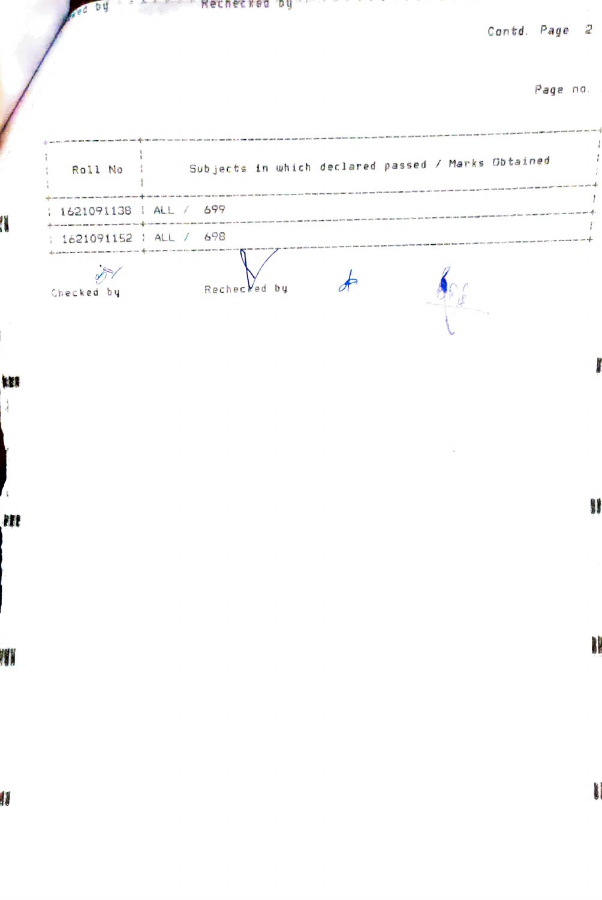力好 Methetked by Wether and the company of the company of the company of the company of the company of the company of the company of the company of the company of the company of the company of the company of the company of the  $\sim$ 100

Contd. Page 2

Page na.

|   |                          | Roll No : Subjects in which declared passed / Marks Obtained |  |
|---|--------------------------|--------------------------------------------------------------|--|
|   | : 1621091138 : ALL / 699 |                                                              |  |
|   | : 1621091152 : ALL / 698 |                                                              |  |
|   | Checked by               | Rechecked by                                                 |  |
| W |                          |                                                              |  |

W

ł

4

m

j

11